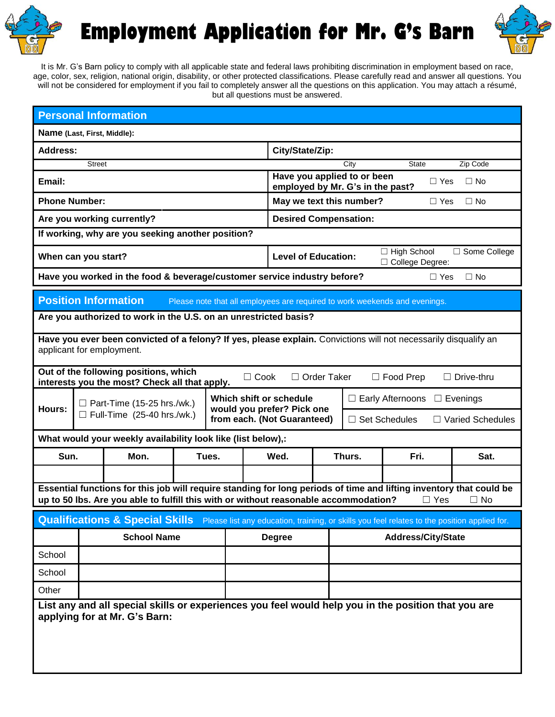

**Employment Application for Mr. G's Barn**



It is Mr. G's Barn policy to comply with all applicable state and federal laws prohibiting discrimination in employment based on race, age, color, sex, religion, national origin, disability, or other protected classifications. Please carefully read and answer all questions. You will not be considered for employment if you fail to completely answer all the questions on this application. You may attach a résumé, but all questions must be answered.

| <b>Personal Information</b>                                                                                                                                     |                                                                                  |                                                                                                                                                                                                             |                 |               |                                                                 |                                                                                         |                           |                                                 |              |            |           |  |
|-----------------------------------------------------------------------------------------------------------------------------------------------------------------|----------------------------------------------------------------------------------|-------------------------------------------------------------------------------------------------------------------------------------------------------------------------------------------------------------|-----------------|---------------|-----------------------------------------------------------------|-----------------------------------------------------------------------------------------|---------------------------|-------------------------------------------------|--------------|------------|-----------|--|
| Name (Last, First, Middle):                                                                                                                                     |                                                                                  |                                                                                                                                                                                                             |                 |               |                                                                 |                                                                                         |                           |                                                 |              |            |           |  |
| <b>Address:</b>                                                                                                                                                 |                                                                                  |                                                                                                                                                                                                             | City/State/Zip: |               |                                                                 |                                                                                         |                           |                                                 |              |            |           |  |
|                                                                                                                                                                 | <b>Street</b>                                                                    |                                                                                                                                                                                                             |                 |               |                                                                 |                                                                                         |                           | City                                            | <b>State</b> |            | Zip Code  |  |
| Email:                                                                                                                                                          |                                                                                  |                                                                                                                                                                                                             |                 |               | Have you applied to or been<br>employed by Mr. G's in the past? |                                                                                         |                           |                                                 | $\Box$ Yes   | $\Box$ No  |           |  |
| <b>Phone Number:</b>                                                                                                                                            |                                                                                  |                                                                                                                                                                                                             |                 |               |                                                                 | May we text this number?<br>$\Box$ No<br>$\Box$ Yes                                     |                           |                                                 |              |            |           |  |
| Are you working currently?                                                                                                                                      |                                                                                  |                                                                                                                                                                                                             |                 |               |                                                                 | <b>Desired Compensation:</b>                                                            |                           |                                                 |              |            |           |  |
| If working, why are you seeking another position?                                                                                                               |                                                                                  |                                                                                                                                                                                                             |                 |               |                                                                 |                                                                                         |                           |                                                 |              |            |           |  |
|                                                                                                                                                                 | When can you start?                                                              |                                                                                                                                                                                                             |                 |               |                                                                 | $\Box$ High School<br>□ Some College<br><b>Level of Education:</b><br>□ College Degree: |                           |                                                 |              |            |           |  |
|                                                                                                                                                                 |                                                                                  | Have you worked in the food & beverage/customer service industry before?                                                                                                                                    |                 |               |                                                                 |                                                                                         |                           |                                                 |              | $\Box$ Yes | $\Box$ No |  |
| <b>Position Information</b><br>Please note that all employees are required to work weekends and evenings.                                                       |                                                                                  |                                                                                                                                                                                                             |                 |               |                                                                 |                                                                                         |                           |                                                 |              |            |           |  |
| Are you authorized to work in the U.S. on an unrestricted basis?                                                                                                |                                                                                  |                                                                                                                                                                                                             |                 |               |                                                                 |                                                                                         |                           |                                                 |              |            |           |  |
| Have you ever been convicted of a felony? If yes, please explain. Convictions will not necessarily disqualify an<br>applicant for employment.                   |                                                                                  |                                                                                                                                                                                                             |                 |               |                                                                 |                                                                                         |                           |                                                 |              |            |           |  |
| Out of the following positions, which<br>$\Box$ Cook<br>□ Order Taker<br>$\Box$ Food Prep<br>$\Box$ Drive-thru<br>interests you the most? Check all that apply. |                                                                                  |                                                                                                                                                                                                             |                 |               |                                                                 |                                                                                         |                           |                                                 |              |            |           |  |
|                                                                                                                                                                 | Which shift or schedule<br>$\Box$ Part-Time (15-25 hrs./wk.)                     |                                                                                                                                                                                                             |                 |               |                                                                 |                                                                                         |                           | $\Box$ Early Afternoons<br>$\Box$ Evenings      |              |            |           |  |
|                                                                                                                                                                 | would you prefer? Pick one<br><b>Hours:</b><br>$\Box$ Full-Time (25-40 hrs./wk.) |                                                                                                                                                                                                             |                 |               | from each. (Not Guaranteed)                                     |                                                                                         |                           | $\Box$ Set Schedules<br><b>Varied Schedules</b> |              |            |           |  |
|                                                                                                                                                                 |                                                                                  | What would your weekly availability look like (list below),:                                                                                                                                                |                 |               |                                                                 |                                                                                         |                           |                                                 |              |            |           |  |
| Sun.                                                                                                                                                            |                                                                                  | Mon.                                                                                                                                                                                                        | Tues.           |               | Wed.                                                            |                                                                                         | Thurs.                    |                                                 | Fri.         |            | Sat.      |  |
|                                                                                                                                                                 |                                                                                  |                                                                                                                                                                                                             |                 |               |                                                                 |                                                                                         |                           |                                                 |              |            |           |  |
|                                                                                                                                                                 |                                                                                  | Essential functions for this job will require standing for long periods of time and lifting inventory that could be<br>up to 50 lbs. Are you able to fulfill this with or without reasonable accommodation? |                 |               |                                                                 |                                                                                         |                           |                                                 |              | $\Box$ Yes | $\Box$ No |  |
|                                                                                                                                                                 |                                                                                  | Qualifications & Special Skills Please list any education, training, or skills you feel relates to the position applied for.                                                                                |                 |               |                                                                 |                                                                                         |                           |                                                 |              |            |           |  |
|                                                                                                                                                                 | <b>School Name</b>                                                               |                                                                                                                                                                                                             |                 | <b>Degree</b> |                                                                 |                                                                                         | <b>Address/City/State</b> |                                                 |              |            |           |  |
| School                                                                                                                                                          |                                                                                  |                                                                                                                                                                                                             |                 |               |                                                                 |                                                                                         |                           |                                                 |              |            |           |  |
| School                                                                                                                                                          |                                                                                  |                                                                                                                                                                                                             |                 |               |                                                                 |                                                                                         |                           |                                                 |              |            |           |  |
| Other                                                                                                                                                           |                                                                                  |                                                                                                                                                                                                             |                 |               |                                                                 |                                                                                         |                           |                                                 |              |            |           |  |
| List any and all special skills or experiences you feel would help you in the position that you are<br>applying for at Mr. G's Barn:                            |                                                                                  |                                                                                                                                                                                                             |                 |               |                                                                 |                                                                                         |                           |                                                 |              |            |           |  |